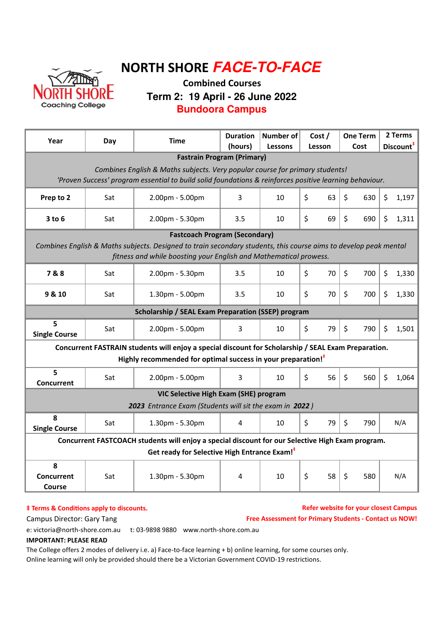

# NORTH SHORE **FACE-TO-FACE**

### Combined Courses **Term 2: 19 April - 26 June 2022 Bundoora Campus**

| Year                                                                                                             | Day                                                                                                                                                                                     | <b>Time</b>                                                                                         | <b>Duration</b><br>(hours) | <b>Number of</b><br><b>Lessons</b> | Cost /<br>Lesson | <b>One Term</b><br>Cost | 2 Terms<br>Discount <sup>#</sup> |  |  |  |  |  |
|------------------------------------------------------------------------------------------------------------------|-----------------------------------------------------------------------------------------------------------------------------------------------------------------------------------------|-----------------------------------------------------------------------------------------------------|----------------------------|------------------------------------|------------------|-------------------------|----------------------------------|--|--|--|--|--|
| <b>Fastrain Program (Primary)</b>                                                                                |                                                                                                                                                                                         |                                                                                                     |                            |                                    |                  |                         |                                  |  |  |  |  |  |
|                                                                                                                  | Combines English & Maths subjects. Very popular course for primary students!<br>'Proven Success' program essential to build solid foundations & reinforces positive learning behaviour. |                                                                                                     |                            |                                    |                  |                         |                                  |  |  |  |  |  |
|                                                                                                                  |                                                                                                                                                                                         |                                                                                                     |                            |                                    |                  |                         |                                  |  |  |  |  |  |
| Prep to 2                                                                                                        | Sat                                                                                                                                                                                     | 2.00pm - 5.00pm                                                                                     | 3                          | 10                                 | \$<br>63         | \$<br>630               | \$<br>1,197                      |  |  |  |  |  |
| $3$ to $6$                                                                                                       | Sat                                                                                                                                                                                     | 2.00pm - 5.30pm                                                                                     | 3.5                        | 10                                 | \$<br>69         | \$<br>690               | \$<br>1,311                      |  |  |  |  |  |
| <b>Fastcoach Program (Secondary)</b>                                                                             |                                                                                                                                                                                         |                                                                                                     |                            |                                    |                  |                         |                                  |  |  |  |  |  |
| Combines English & Maths subjects. Designed to train secondary students, this course aims to develop peak mental |                                                                                                                                                                                         |                                                                                                     |                            |                                    |                  |                         |                                  |  |  |  |  |  |
| fitness and while boosting your English and Mathematical prowess.                                                |                                                                                                                                                                                         |                                                                                                     |                            |                                    |                  |                         |                                  |  |  |  |  |  |
| 7&8                                                                                                              | Sat                                                                                                                                                                                     | 2.00pm - 5.30pm                                                                                     | 3.5                        | 10                                 | \$<br>70         | $\zeta$<br>700          | \$<br>1,330                      |  |  |  |  |  |
| 9 & 10                                                                                                           | Sat                                                                                                                                                                                     | 1.30pm - 5.00pm                                                                                     | 3.5                        | 10                                 | \$<br>70         | $\zeta$<br>700          | \$<br>1,330                      |  |  |  |  |  |
| Scholarship / SEAL Exam Preparation (SSEP) program                                                               |                                                                                                                                                                                         |                                                                                                     |                            |                                    |                  |                         |                                  |  |  |  |  |  |
| 5<br><b>Single Course</b>                                                                                        | Sat                                                                                                                                                                                     | 2.00pm - 5.00pm                                                                                     | 3                          | 10                                 | \$<br>79         | \$<br>790               | \$<br>1,501                      |  |  |  |  |  |
|                                                                                                                  |                                                                                                                                                                                         | Concurrent FASTRAIN students will enjoy a special discount for Scholarship / SEAL Exam Preparation. |                            |                                    |                  |                         |                                  |  |  |  |  |  |
|                                                                                                                  |                                                                                                                                                                                         | Highly recommended for optimal success in your preparation! <sup>#</sup>                            |                            |                                    |                  |                         |                                  |  |  |  |  |  |
| 5<br><b>Concurrent</b>                                                                                           | Sat                                                                                                                                                                                     | 2.00pm - 5.00pm                                                                                     | 3                          | 10                                 | \$<br>56         | \$<br>560               | \$<br>1,064                      |  |  |  |  |  |
|                                                                                                                  |                                                                                                                                                                                         | VIC Selective High Exam (SHE) program                                                               |                            |                                    |                  |                         |                                  |  |  |  |  |  |
|                                                                                                                  |                                                                                                                                                                                         | 2023 Entrance Exam (Students will sit the exam in 2022)                                             |                            |                                    |                  |                         |                                  |  |  |  |  |  |
| 8<br><b>Single Course</b>                                                                                        | Sat                                                                                                                                                                                     | 1.30pm - 5.30pm                                                                                     | 4                          | 10                                 | \$<br>79         | \$<br>790               | N/A                              |  |  |  |  |  |
|                                                                                                                  | Concurrent FASTCOACH students will enjoy a special discount for our Selective High Exam program.                                                                                        |                                                                                                     |                            |                                    |                  |                         |                                  |  |  |  |  |  |
| Get ready for Selective High Entrance Exam! <sup>7</sup>                                                         |                                                                                                                                                                                         |                                                                                                     |                            |                                    |                  |                         |                                  |  |  |  |  |  |
| 8                                                                                                                |                                                                                                                                                                                         |                                                                                                     |                            |                                    |                  |                         |                                  |  |  |  |  |  |
| <b>Concurrent</b><br>Course                                                                                      | Sat                                                                                                                                                                                     | 1.30pm - 5.30pm                                                                                     | 4                          | 10                                 | \$<br>58         | Ś<br>580                | N/A                              |  |  |  |  |  |

#### $\dagger$  Terms & Conditions apply to discounts.

#### Refer website for your closest Campus

Campus Director: Gary Tang

Free Assessment for Primary Students - Contact us NOW!

e: victoria@north-shore.com.au t: 03-9898 9880 www.north-shore.com.au

### IMPORTANT: PLEASE READ

The College offers 2 modes of delivery i.e. a) Face-to-face learning + b) online learning, for some courses only. Online learning will only be provided should there be a Victorian Government COVID-19 restrictions.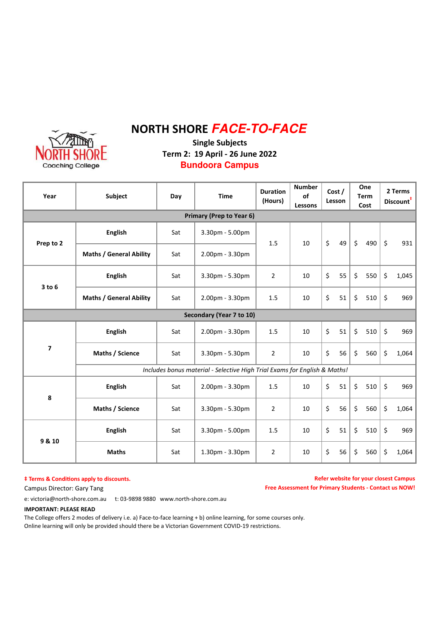# NORTH SHORE **FACE-TO-FACE**



Single Subjects Term 2: 19 April - 26 June 2022 **Bundoora Campus**

| Year                     | Subject                                                                   |     | <b>Time</b>              | <b>Duration</b><br>(Hours) | <b>Number</b><br>of<br>Lessons | Cost /<br>Lesson |    | One<br><b>Term</b><br>Cost |     | 2 Terms<br>Discount <sup>#</sup> |       |
|--------------------------|---------------------------------------------------------------------------|-----|--------------------------|----------------------------|--------------------------------|------------------|----|----------------------------|-----|----------------------------------|-------|
|                          |                                                                           |     | Primary (Prep to Year 6) |                            |                                |                  |    |                            |     |                                  |       |
| Prep to 2                | <b>English</b>                                                            | Sat | 3.30pm - 5.00pm          | 1.5                        | 10                             | \$               | 49 | $\zeta$                    | 490 | \$                               | 931   |
|                          | <b>Maths / General Ability</b>                                            | Sat | 2.00pm - 3.30pm          |                            |                                |                  |    |                            |     |                                  |       |
| $3$ to $6$               | <b>English</b>                                                            | Sat | 3.30pm - 5.30pm          | $\overline{2}$             | 10                             | \$               | 55 | \$                         | 550 | \$                               | 1,045 |
|                          | <b>Maths / General Ability</b>                                            | Sat | 2.00pm - 3.30pm          | 1.5                        | 10                             | \$               | 51 | \$                         | 510 | \$                               | 969   |
| Secondary (Year 7 to 10) |                                                                           |     |                          |                            |                                |                  |    |                            |     |                                  |       |
| $\overline{\mathbf{z}}$  | <b>English</b>                                                            | Sat | 2.00pm - 3.30pm          | 1.5                        | 10                             | $\zeta$          | 51 | \$                         | 510 | $\zeta$                          | 969   |
|                          | Maths / Science                                                           | Sat | 3.30pm - 5.30pm          | $\overline{2}$             | 10                             | \$               | 56 | \$                         | 560 | \$                               | 1,064 |
|                          | Includes bonus material - Selective High Trial Exams for English & Maths! |     |                          |                            |                                |                  |    |                            |     |                                  |       |
| 8                        | <b>English</b>                                                            | Sat | 2.00pm - 3.30pm          | 1.5                        | 10                             | \$               | 51 | \$                         | 510 | $\boldsymbol{\zeta}$             | 969   |
|                          | Maths / Science                                                           | Sat | 3.30pm - 5.30pm          | $\overline{2}$             | 10                             | \$               | 56 | \$                         | 560 | \$                               | 1,064 |
| 9 & 10                   | <b>English</b>                                                            | Sat | 3.30pm - 5.00pm          | 1.5                        | 10                             | \$               | 51 | \$                         | 510 | \$                               | 969   |
|                          | <b>Maths</b>                                                              | Sat | 1.30pm - 3.30pm          | $\overline{2}$             | 10                             | \$               | 56 | \$                         | 560 | \$                               | 1,064 |

#### $‡$  Terms & Conditions apply to discounts.

Campus Director: Gary Tang

Refer website for your closest Campus Free Assessment for Primary Students - Contact us NOW!

e: victoria@north-shore.com.au t: 03-9898 9880 www.north-shore.com.au

#### IMPORTANT: PLEASE READ

The College offers 2 modes of delivery i.e. a) Face-to-face learning + b) online learning, for some courses only. Online learning will only be provided should there be a Victorian Government COVID-19 restrictions.